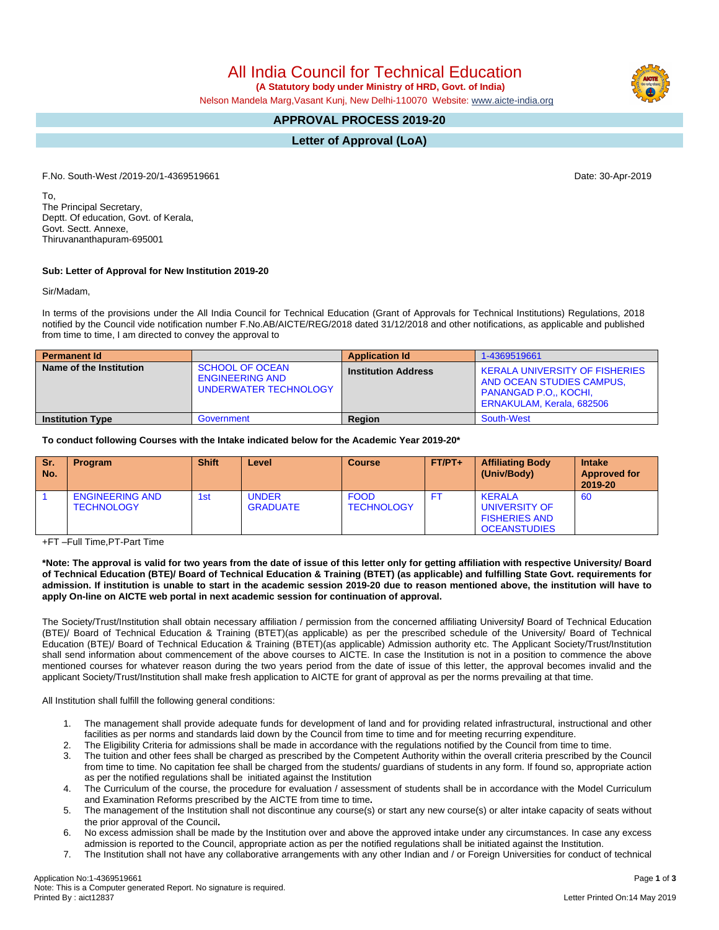Application No:1-4369519661 Page **1** of **3** Note: This is a Computer generated Report. No signature is required.

All India Council for Technical Education

 **(A Statutory body under Ministry of HRD, Govt. of India)**

Nelson Mandela Marg,Vasant Kunj, New Delhi-110070 Website: [www.aicte-india.org](http://www.aicte-india.org)

## **APPROVAL PROCESS 2019-20**

**Letter of Approval (LoA)**

F.No. South-West /2019-20/1-4369519661 Date: 30-Apr-2019

To, The Principal Secretary, Deptt. Of education, Govt. of Kerala, Govt. Sectt. Annexe, Thiruvananthapuram-695001

## **Sub: Letter of Approval for New Institution 2019-20**

Sir/Madam,

In terms of the provisions under the All India Council for Technical Education (Grant of Approvals for Technical Institutions) Regulations, 2018 notified by the Council vide notification number F.No.AB/AICTE/REG/2018 dated 31/12/2018 and other notifications, as applicable and published from time to time, I am directed to convey the approval to

| <b>Permanent Id</b>     |                                                                           | <b>Application Id</b>      | 1-4369519661                                                                                                                    |  |
|-------------------------|---------------------------------------------------------------------------|----------------------------|---------------------------------------------------------------------------------------------------------------------------------|--|
| Name of the Institution | <b>SCHOOL OF OCEAN</b><br><b>ENGINEERING AND</b><br>UNDERWATER TECHNOLOGY | <b>Institution Address</b> | <b>KERALA UNIVERSITY OF FISHERIES</b><br>AND OCEAN STUDIES CAMPUS.<br><b>PANANGAD P.O., KOCHI.</b><br>ERNAKULAM, Kerala, 682506 |  |
| <b>Institution Type</b> | Government                                                                | <b>Region</b>              | South-West                                                                                                                      |  |

**To conduct following Courses with the Intake indicated below for the Academic Year 2019-20\***

| <b>Sr.</b><br>No. | <b>Program</b>                              | <b>Shift</b> | Level                           | <b>Course</b>                    | $FT/PT+$ | <b>Affiliating Body</b><br>(Univ/Body)                                        | <b>Intake</b><br><b>Approved for</b><br>2019-20 |
|-------------------|---------------------------------------------|--------------|---------------------------------|----------------------------------|----------|-------------------------------------------------------------------------------|-------------------------------------------------|
|                   | <b>ENGINEERING AND</b><br><b>TECHNOLOGY</b> | 1st          | <b>UNDER</b><br><b>GRADUATE</b> | <b>FOOD</b><br><b>TECHNOLOGY</b> | FT       | <b>KERALA</b><br>UNIVERSITY OF<br><b>FISHERIES AND</b><br><b>OCEANSTUDIES</b> | 60                                              |

+FT –Full Time,PT-Part Time

\*Note: The approval is valid for two years from the date of issue of this letter only for getting affiliation with respective University/ Board of Technical Education (BTE)/ Board of Technical Education & Training (BTET) (as applicable) and fulfilling State Govt. requirements for admission. If institution is unable to start in the academic session 2019-20 due to reason mentioned above, the institution will have to **apply On-line on AICTE web portal in next academic session for continuation of approval.**

The Society/Trust/Institution shall obtain necessary affiliation / permission from the concerned affiliating University**/** Board of Technical Education (BTE)/ Board of Technical Education & Training (BTET)(as applicable) as per the prescribed schedule of the University/ Board of Technical Education (BTE)/ Board of Technical Education & Training (BTET)(as applicable) Admission authority etc. The Applicant Society/Trust/Institution shall send information about commencement of the above courses to AICTE. In case the Institution is not in a position to commence the above mentioned courses for whatever reason during the two years period from the date of issue of this letter, the approval becomes invalid and the applicant Society/Trust/Institution shall make fresh application to AICTE for grant of approval as per the norms prevailing at that time.

All Institution shall fulfill the following general conditions:

- 1. The management shall provide adequate funds for development of land and for providing related infrastructural, instructional and other facilities as per norms and standards laid down by the Council from time to time and for meeting recurring expenditure.
- 2. The Eligibility Criteria for admissions shall be made in accordance with the regulations notified by the Council from time to time.
- 3. The tuition and other fees shall be charged as prescribed by the Competent Authority within the overall criteria prescribed by the Council from time to time. No capitation fee shall be charged from the students/ guardians of students in any form. If found so, appropriate action as per the notified regulations shall be initiated against the Institution
- 4. The Curriculum of the course, the procedure for evaluation / assessment of students shall be in accordance with the Model Curriculum and Examination Reforms prescribed by the AICTE from time to time**.**
- 5. The management of the Institution shall not discontinue any course(s) or start any new course(s) or alter intake capacity of seats without the prior approval of the Council**.**
- 6. No excess admission shall be made by the Institution over and above the approved intake under any circumstances. In case any excess admission is reported to the Council, appropriate action as per the notified regulations shall be initiated against the Institution.
- 7. The Institution shall not have any collaborative arrangements with any other Indian and / or Foreign Universities for conduct of technical

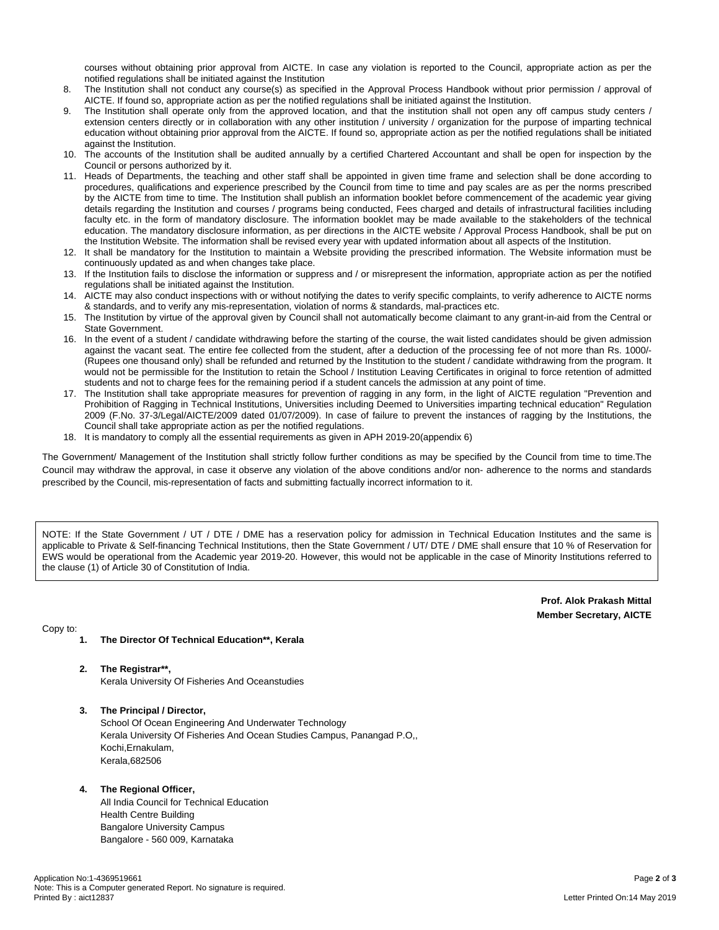courses without obtaining prior approval from AICTE. In case any violation is reported to the Council, appropriate action as per the notified regulations shall be initiated against the Institution

- 8. The Institution shall not conduct any course(s) as specified in the Approval Process Handbook without prior permission / approval of AICTE. If found so, appropriate action as per the notified regulations shall be initiated against the Institution.
- The Institution shall operate only from the approved location, and that the institution shall not open any off campus study centers / extension centers directly or in collaboration with any other institution / university / organization for the purpose of imparting technical education without obtaining prior approval from the AICTE. If found so, appropriate action as per the notified regulations shall be initiated against the Institution.
- 10. The accounts of the Institution shall be audited annually by a certified Chartered Accountant and shall be open for inspection by the Council or persons authorized by it.
- 11. Heads of Departments, the teaching and other staff shall be appointed in given time frame and selection shall be done according to procedures, qualifications and experience prescribed by the Council from time to time and pay scales are as per the norms prescribed by the AICTE from time to time. The Institution shall publish an information booklet before commencement of the academic year giving details regarding the Institution and courses / programs being conducted, Fees charged and details of infrastructural facilities including faculty etc. in the form of mandatory disclosure. The information booklet may be made available to the stakeholders of the technical education. The mandatory disclosure information, as per directions in the AICTE website / Approval Process Handbook, shall be put on the Institution Website. The information shall be revised every year with updated information about all aspects of the Institution.
- 12. It shall be mandatory for the Institution to maintain a Website providing the prescribed information. The Website information must be continuously updated as and when changes take place.
- 13. If the Institution fails to disclose the information or suppress and / or misrepresent the information, appropriate action as per the notified regulations shall be initiated against the Institution.
- 14. AICTE may also conduct inspections with or without notifying the dates to verify specific complaints, to verify adherence to AICTE norms & standards, and to verify any mis-representation, violation of norms & standards, mal-practices etc.
- 15. The Institution by virtue of the approval given by Council shall not automatically become claimant to any grant-in-aid from the Central or State Government.
- 16. In the event of a student / candidate withdrawing before the starting of the course, the wait listed candidates should be given admission against the vacant seat. The entire fee collected from the student, after a deduction of the processing fee of not more than Rs. 1000/- (Rupees one thousand only) shall be refunded and returned by the Institution to the student / candidate withdrawing from the program. It would not be permissible for the Institution to retain the School / Institution Leaving Certificates in original to force retention of admitted students and not to charge fees for the remaining period if a student cancels the admission at any point of time.
- 17. The Institution shall take appropriate measures for prevention of ragging in any form, in the light of AICTE regulation "Prevention and Prohibition of Ragging in Technical Institutions, Universities including Deemed to Universities imparting technical education" Regulation 2009 (F.No. 37-3/Legal/AICTE/2009 dated 01/07/2009). In case of failure to prevent the instances of ragging by the Institutions, the Council shall take appropriate action as per the notified regulations.
- 18. It is mandatory to comply all the essential requirements as given in APH 2019-20(appendix 6)

The Government/ Management of the Institution shall strictly follow further conditions as may be specified by the Council from time to time.The Council may withdraw the approval, in case it observe any violation of the above conditions and/or non- adherence to the norms and standards prescribed by the Council, mis-representation of facts and submitting factually incorrect information to it.

NOTE: If the State Government / UT / DTE / DME has a reservation policy for admission in Technical Education Institutes and the same is applicable to Private & Self-financing Technical Institutions, then the State Government / UT/ DTE / DME shall ensure that 10 % of Reservation for EWS would be operational from the Academic year 2019-20. However, this would not be applicable in the case of Minority Institutions referred to the clause (1) of Article 30 of Constitution of India.

> **Prof. Alok Prakash Mittal Member Secretary, AICTE**

Copy to:

- **1. The Director Of Technical Education\*\*, Kerala**
- **2. The Registrar\*\*,**
	- Kerala University Of Fisheries And Oceanstudies
- **3. The Principal / Director,** School Of Ocean Engineering And Underwater Technology Kerala University Of Fisheries And Ocean Studies Campus, Panangad P.O,, Kochi,Ernakulam, Kerala,682506

## **4. The Regional Officer,**

All India Council for Technical Education Health Centre Building Bangalore University Campus Bangalore - 560 009, Karnataka